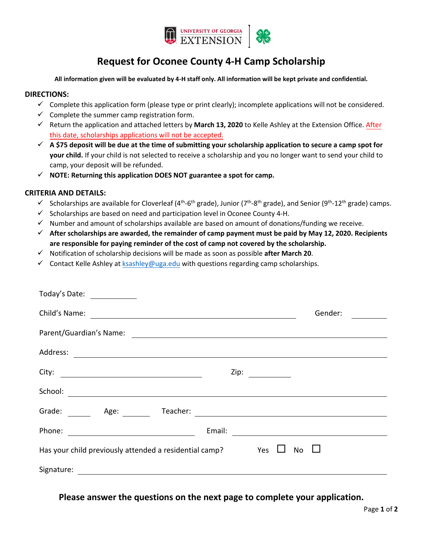

# **Request for Oconee County 4-H Camp Scholarship**

#### **All information given will be evaluated by 4-H staff only. All information will be kept private and confidential.**

### **DIRECTIONS:**

- $\checkmark$  Complete this application form (please type or print clearly); incomplete applications will not be considered.
- $\checkmark$  Complete the summer camp registration form.
- Return the application and attached letters by **March 13, 2020** to Kelle Ashley at the Extension Office. After this date, scholarships applications will not be accepted.
- **A \$75 deposit will be due at the time of submitting your scholarship application to secure a camp spot for your child.** If your child is not selected to receive a scholarship and you no longer want to send your child to camp, your deposit will be refunded.
- **NOTE: Returning this application DOES NOT guarantee a spot for camp.**

## **CRITERIA AND DETAILS:**

- Scholarships are available for Cloverleaf (4<sup>th</sup>-6<sup>th</sup> grade), Junior (7<sup>th</sup>-8<sup>th</sup> grade), and Senior (9<sup>th</sup>-12<sup>th</sup> grade) camps.
- $\checkmark$  Scholarships are based on need and participation level in Oconee County 4-H.
- $\checkmark$  Number and amount of scholarships available are based on amount of donations/funding we receive.
- **After scholarships are awarded, the remainder of camp payment must be paid by May 12, 2020. Recipients are responsible for paying reminder of the cost of camp not covered by the scholarship.**
- Notification of scholarship decisions will be made as soon as possible **after March 20**.
- $\checkmark$  Contact Kelle Ashley at [ksashley@uga.edu](mailto:laurs@uga.edu) with questions regarding camp scholarships.

| Today's Date:<br>$\sim$ 100 $\sim$                                                                                                |                                                                     |
|-----------------------------------------------------------------------------------------------------------------------------------|---------------------------------------------------------------------|
| Child's Name:<br><u> 1980 - Andrea Stadt Britain, fransk politik (d. 1980)</u>                                                    | Gender:                                                             |
| Parent/Guardian's Name:                                                                                                           |                                                                     |
| Address:<br><u> 1980 - Andrea Andrew Maria (h. 1980).</u>                                                                         |                                                                     |
| City:<br><u> 1980 - Johann Barn, mars ann an t-Amhain Aonaich an t-Aonaich an t-Aonaich ann an t-Aonaich ann an t-Aonaich</u>     | Zip: $\qquad \qquad \qquad$                                         |
| School:                                                                                                                           |                                                                     |
| Grade: Age:<br>Teacher:                                                                                                           |                                                                     |
| Phone:                                                                                                                            | Email:<br><u> 1989 - Andrea Station Books, amerikansk politik (</u> |
| Yes<br>Has your child previously attended a residential camp?<br>No                                                               |                                                                     |
| Signature:<br><u> 1989 - Andrea Albert III, politik eta politik eta politik eta politik eta politik eta politik eta politik e</u> |                                                                     |

**Please answer the questions on the next page to complete your application.**